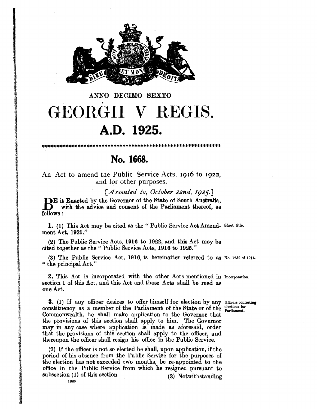

## ANNO DECIMO SEXTO GEORGII V REGIS. A.D. 1925.

No. 1668.

\*\*\*\*\*\*\*\*\*\*\*\*\*\*\*\*\*\*\*\*\*\*

An Act to amend the Public Service Acts, 1916 to 1922, and for other purposes.

[Assented to, October 22nd, 1925.] BE it Enacted by the Governor of the State of South Australia, with the advice and consent of the Parliament thereof, as follows:

1. (1) This Act may be cited as the "Public Service Act Amend- Short title. ment Act, 1925."

(2) The Public Service Acts, 1916 to 1922, and this Act may be cited together as the "Public Service Acts, 1916 to 1925."

(3) The Public Service Act, 1916, is hereinafter referred to as No. 1259 of 1916. " the principal Act."

2. This Act is incorporated with the other Acts mentioned in Incorporation. section 1 of this Act, and this Act and those Acts shall be read as one Act.

**3.** (1) If any officer desires to offer himself for election by any officers contesting constituency as a member of the Parliament of the State or of the Parliament. Commonwealth, he shall make application to the Governor that the provisions of this section shall apply to him. The Governor may in any case where application is made as aforesaid, order that the provisions of this section shall apply to the officer, and thereupon the officer shall resign his office in the Public Service.

(2) If the officer is not so elected he shall, upon application, if the period of his absence from the Public Service for the purposes of the election has not exceeded two months, be re-appointed to the office in the Public Service from which he resigned pursuant to subsection (1) of this section. (3) Notwithstanding

1668